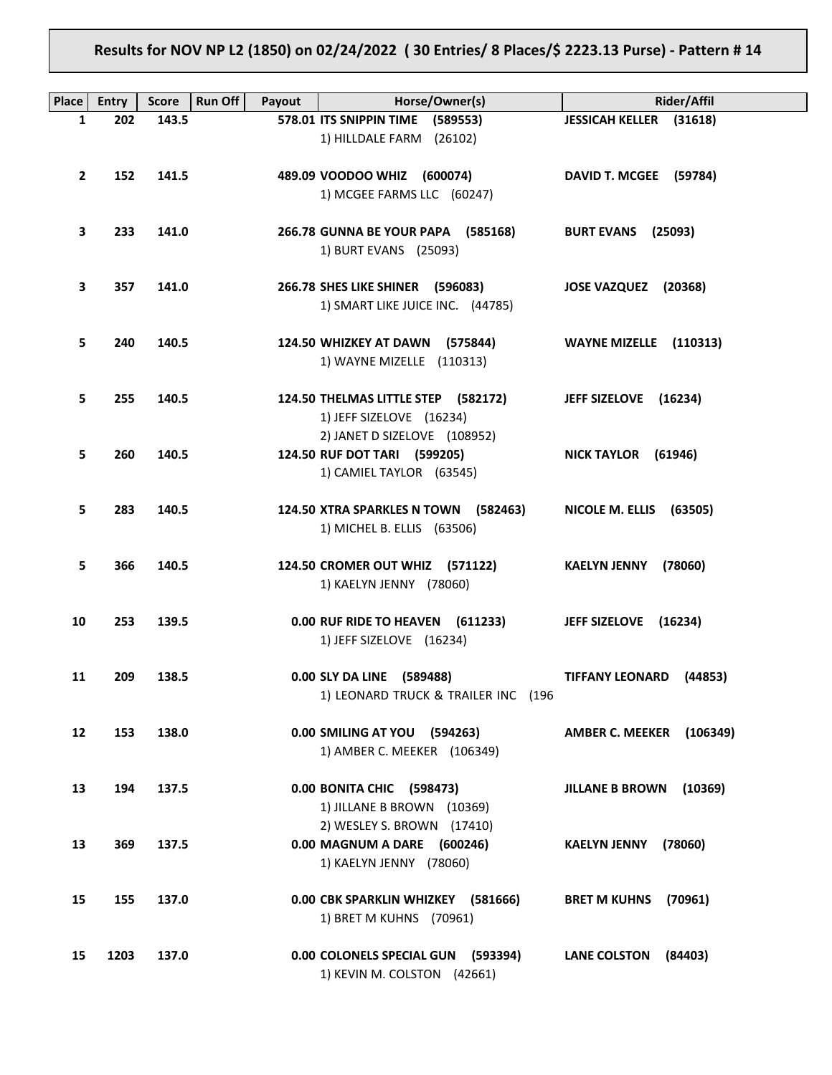# **Results for NOV NP L2 (1850) on 02/24/2022 ( 30 Entries/ 8 Places/\$ 2223.13 Purse) - Pattern # 14**

| Place        | <b>Entry</b> | <b>Score</b> | Run Off<br>Payout | Horse/Owner(s)                       | Rider/Affil                        |
|--------------|--------------|--------------|-------------------|--------------------------------------|------------------------------------|
| $\mathbf{1}$ | 202          | 143.5        |                   | 578.01 ITS SNIPPIN TIME (589553)     | <b>JESSICAH KELLER (31618)</b>     |
|              |              |              |                   |                                      |                                    |
|              |              |              |                   | 1) HILLDALE FARM (26102)             |                                    |
|              |              |              |                   |                                      |                                    |
| $\mathbf{2}$ | 152          | 141.5        |                   | 489.09 VOODOO WHIZ (600074)          | DAVID T. MCGEE (59784)             |
|              |              |              |                   | 1) MCGEE FARMS LLC (60247)           |                                    |
|              |              |              |                   |                                      |                                    |
| 3            | 233          | 141.0        |                   | 266.78 GUNNA BE YOUR PAPA (585168)   | <b>BURT EVANS (25093)</b>          |
|              |              |              |                   | 1) BURT EVANS (25093)                |                                    |
|              |              |              |                   |                                      |                                    |
| 3            | 357          | 141.0        |                   | 266.78 SHES LIKE SHINER (596083)     | JOSE VAZQUEZ (20368)               |
|              |              |              |                   | 1) SMART LIKE JUICE INC. (44785)     |                                    |
|              |              |              |                   |                                      |                                    |
| 5.           | 240          | 140.5        |                   | 124.50 WHIZKEY AT DAWN (575844)      | WAYNE MIZELLE (110313)             |
|              |              |              |                   | 1) WAYNE MIZELLE (110313)            |                                    |
|              |              |              |                   |                                      |                                    |
|              | 255          | 140.5        |                   | 124.50 THELMAS LITTLE STEP (582172)  |                                    |
| 5.           |              |              |                   |                                      | JEFF SIZELOVE (16234)              |
|              |              |              |                   | 1) JEFF SIZELOVE (16234)             |                                    |
|              |              |              |                   | 2) JANET D SIZELOVE (108952)         |                                    |
| 5.           | 260          | 140.5        |                   | 124.50 RUF DOT TARI (599205)         | NICK TAYLOR (61946)                |
|              |              |              |                   | 1) CAMIEL TAYLOR (63545)             |                                    |
|              |              |              |                   |                                      |                                    |
| 5.           | 283          | 140.5        |                   | 124.50 XTRA SPARKLES N TOWN (582463) | NICOLE M. ELLIS (63505)            |
|              |              |              |                   | 1) MICHEL B. ELLIS (63506)           |                                    |
|              |              |              |                   |                                      |                                    |
| 5.           | 366          | 140.5        |                   | 124.50 CROMER OUT WHIZ (571122)      | KAELYN JENNY (78060)               |
|              |              |              |                   | 1) KAELYN JENNY (78060)              |                                    |
|              |              |              |                   |                                      |                                    |
| 10           | 253          | 139.5        |                   | 0.00 RUF RIDE TO HEAVEN (611233)     | JEFF SIZELOVE (16234)              |
|              |              |              |                   | 1) JEFF SIZELOVE (16234)             |                                    |
|              |              |              |                   |                                      |                                    |
| 11           | 209          | 138.5        |                   | 0.00 SLY DA LINE (589488)            | TIFFANY LEONARD (44853)            |
|              |              |              |                   | 1) LEONARD TRUCK & TRAILER INC (196  |                                    |
|              |              |              |                   |                                      |                                    |
|              |              |              |                   | 0.00 SMILING AT YOU (594263)         |                                    |
| 12           | 153          | 138.0        |                   |                                      | <b>AMBER C. MEEKER</b><br>(106349) |
|              |              |              |                   | 1) AMBER C. MEEKER (106349)          |                                    |
|              |              |              |                   |                                      |                                    |
| 13           | 194          | 137.5        |                   | 0.00 BONITA CHIC (598473)            | <b>JILLANE B BROWN</b><br>(10369)  |
|              |              |              |                   | 1) JILLANE B BROWN (10369)           |                                    |
|              |              |              |                   | 2) WESLEY S. BROWN (17410)           |                                    |
| 13           | 369          | 137.5        |                   | 0.00 MAGNUM A DARE (600246)          | <b>KAELYN JENNY</b><br>(78060)     |
|              |              |              |                   | 1) KAELYN JENNY (78060)              |                                    |
|              |              |              |                   |                                      |                                    |
| 15           | 155          | 137.0        |                   | 0.00 CBK SPARKLIN WHIZKEY (581666)   | <b>BRET M KUHNS</b><br>(70961)     |
|              |              |              |                   | 1) BRET M KUHNS (70961)              |                                    |
|              |              |              |                   |                                      |                                    |
| 15           | 1203         | 137.0        |                   | 0.00 COLONELS SPECIAL GUN (593394)   | <b>LANE COLSTON</b><br>(84403)     |
|              |              |              |                   | 1) KEVIN M. COLSTON (42661)          |                                    |
|              |              |              |                   |                                      |                                    |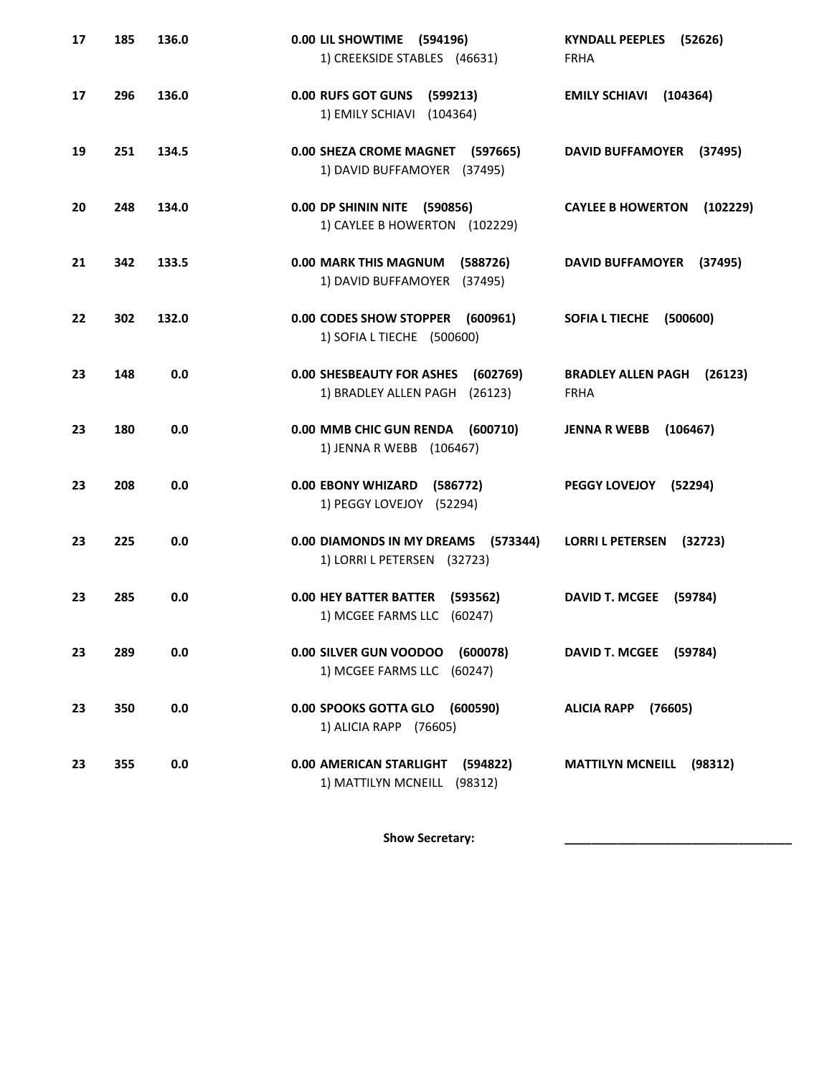| 17 | 185 | 136.0 | 0.00 LIL SHOWTIME (594196)<br>1) CREEKSIDE STABLES (46631)                       | <b>KYNDALL PEEPLES</b><br>(52626)<br><b>FRHA</b>    |
|----|-----|-------|----------------------------------------------------------------------------------|-----------------------------------------------------|
| 17 | 296 | 136.0 | <b>0.00 RUFS GOT GUNS</b><br>(599213)<br>1) EMILY SCHIAVI (104364)               | <b>EMILY SCHIAVI</b><br>(104364)                    |
| 19 | 251 | 134.5 | 0.00 SHEZA CROME MAGNET (597665)<br>1) DAVID BUFFAMOYER (37495)                  | <b>DAVID BUFFAMOYER</b><br>(37495)                  |
| 20 | 248 | 134.0 | 0.00 DP SHININ NITE (590856)<br>1) CAYLEE B HOWERTON (102229)                    | <b>CAYLEE B HOWERTON</b><br>(102229)                |
| 21 | 342 | 133.5 | 0.00 MARK THIS MAGNUM<br>(588726)<br>1) DAVID BUFFAMOYER (37495)                 | <b>DAVID BUFFAMOYER</b><br>(37495)                  |
| 22 | 302 | 132.0 | 0.00 CODES SHOW STOPPER<br>(600961)<br>1) SOFIA L TIECHE (500600)                | <b>SOFIA L TIECHE</b><br>(500600)                   |
| 23 | 148 | 0.0   | <b>0.00 SHESBEAUTY FOR ASHES</b><br>(602769)<br>1) BRADLEY ALLEN PAGH<br>(26123) | <b>BRADLEY ALLEN PAGH</b><br>(26123)<br><b>FRHA</b> |
| 23 | 180 | 0.0   | 0.00 MMB CHIC GUN RENDA<br>(600710)<br>1) JENNA R WEBB (106467)                  | <b>JENNA R WEBB</b><br>(106467)                     |
| 23 | 208 | 0.0   | <b>0.00 EBONY WHIZARD</b><br>(586772)<br>1) PEGGY LOVEJOY (52294)                | <b>PEGGY LOVEJOY</b><br>(52294)                     |
| 23 | 225 | 0.0   | 0.00 DIAMONDS IN MY DREAMS<br>(573344)<br>1) LORRI L PETERSEN (32723)            | <b>LORRI L PETERSEN</b><br>(32723)                  |
| 23 | 285 | 0.0   | <b>0.00 HEY BATTER BATTER</b><br>(593562)<br>1) MCGEE FARMS LLC<br>(60247)       | <b>DAVID T. MCGEE</b><br>(59784)                    |
| 23 | 289 | 0.0   | 0.00 SILVER GUN VOODOO (600078)<br>1) MCGEE FARMS LLC (60247)                    | DAVID T. MCGEE (59784)                              |
| 23 | 350 | 0.0   | 0.00 SPOOKS GOTTA GLO<br>(600590)<br>1) ALICIA RAPP (76605)                      | <b>ALICIA RAPP</b><br>(76605)                       |
| 23 | 355 | 0.0   | 0.00 AMERICAN STARLIGHT (594822)<br>1) MATTILYN MCNEILL (98312)                  | <b>MATTILYN MCNEILL</b><br>(98312)                  |

Show Secretary: